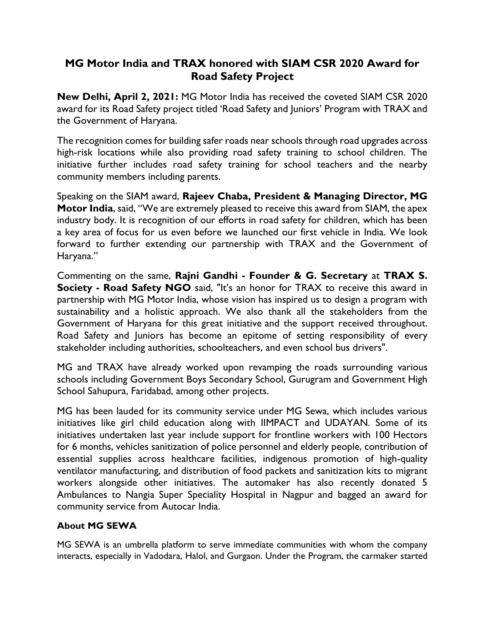## **MG Motor India and TRAX honored with SIAM CSR 2020 Award for Road Safety Project**

**New Delhi, April 2, 2021:** MG Motor India has received the coveted SIAM CSR 2020 award for its Road Safety project titled 'Road Safety and Juniors' Program with TRAX and the Government of Haryana.

The recognition comes for building safer roads near schools through road upgrades across high-risk locations while also providing road safety training to school children. The initiative further includes road safety training for school teachers and the nearby community members including parents.

Speaking on the SIAM award, **Rajeev Chaba, President & Managing Director, MG Motor India**, said, "We are extremely pleased to receive this award from SIAM, the apex industry body. It is recognition of our efforts in road safety for children, which has been a key area of focus for us even before we launched our first vehicle in India. We look forward to further extending our partnership with TRAX and the Government of Haryana."

Commenting on the same, **Rajni Gandhi - Founder & G. Secretary** at **TRAX S. Society - Road Safety NGO** said, "It's an honor for TRAX to receive this award in partnership with MG Motor India, whose vision has inspired us to design a program with sustainability and a holistic approach. We also thank all the stakeholders from the Government of Haryana for this great initiative and the support received throughout. Road Safety and Juniors has become an epitome of setting responsibility of every stakeholder including authorities, schoolteachers, and even school bus drivers".

MG and TRAX have already worked upon revamping the roads surrounding various schools including Government Boys Secondary School, Gurugram and Government High School Sahupura, Faridabad, among other projects.

MG has been lauded for its community service under MG Sewa, which includes various initiatives like girl child education along with IIMPACT and UDAYAN. Some of its initiatives undertaken last year include support for frontline workers with 100 Hectors for 6 months, vehicles sanitization of police personnel and elderly people, contribution of essential supplies across healthcare facilities, indigenous promotion of high-quality ventilator manufacturing, and distribution of food packets and sanitization kits to migrant workers alongside other initiatives. The automaker has also recently donated 5 Ambulances to Nangia Super Speciality Hospital in Nagpur and bagged an award for community service from Autocar India.

## **About MG SEWA**

MG SEWA is an umbrella platform to serve immediate communities with whom the company interacts, especially in Vadodara, Halol, and Gurgaon. Under the Program, the carmaker started